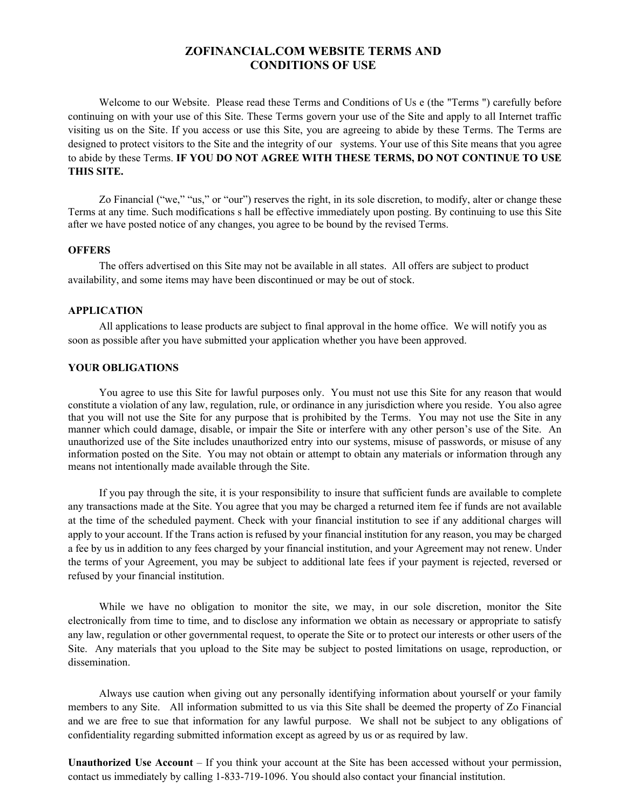# **ZOFINANCIAL.COM WEBSITE TERMS AND CONDITIONS OF USE**

Welcome to our Website. Please read these Terms and Conditions of Us e (the "Terms ") carefully before continuing on with your use of this Site. These Terms govern your use of the Site and apply to all Internet traffic visiting us on the Site. If you access or use this Site, you are agreeing to abide by these Terms. The Terms are designed to protect visitors to the Site and the integrity of our systems. Your use of this Site means that you agree to abide by these Terms. **IF YOU DO NOT AGREE WITH THESE TERMS, DO NOT CONTINUE TO USE THIS SITE.**

Zo Financial ("we," "us," or "our") reserves the right, in its sole discretion, to modify, alter or change these Terms at any time. Such modifications s hall be effective immediately upon posting. By continuing to use this Site after we have posted notice of any changes, you agree to be bound by the revised Terms.

### **OFFERS**

The offers advertised on this Site may not be available in all states. All offers are subject to product availability, and some items may have been discontinued or may be out of stock.

### **APPLICATION**

All applications to lease products are subject to final approval in the home office. We will notify you as soon as possible after you have submitted your application whether you have been approved.

## **YOUR OBLIGATIONS**

You agree to use this Site for lawful purposes only. You must not use this Site for any reason that would constitute a violation of any law, regulation, rule, or ordinance in any jurisdiction where you reside. You also agree that you will not use the Site for any purpose that is prohibited by the Terms. You may not use the Site in any manner which could damage, disable, or impair the Site or interfere with any other person's use of the Site. An unauthorized use of the Site includes unauthorized entry into our systems, misuse of passwords, or misuse of any information posted on the Site. You may not obtain or attempt to obtain any materials or information through any means not intentionally made available through the Site.

If you pay through the site, it is your responsibility to insure that sufficient funds are available to complete any transactions made at the Site. You agree that you may be charged a returned item fee if funds are not available at the time of the scheduled payment. Check with your financial institution to see if any additional charges will apply to your account. If the Trans action is refused by your financial institution for any reason, you may be charged a fee by us in addition to any fees charged by your financial institution, and your Agreement may not renew. Under the terms of your Agreement, you may be subject to additional late fees if your payment is rejected, reversed or refused by your financial institution.

While we have no obligation to monitor the site, we may, in our sole discretion, monitor the Site electronically from time to time, and to disclose any information we obtain as necessary or appropriate to satisfy any law, regulation or other governmental request, to operate the Site or to protect our interests or other users of the Site. Any materials that you upload to the Site may be subject to posted limitations on usage, reproduction, or dissemination.

Always use caution when giving out any personally identifying information about yourself or your family members to any Site. All information submitted to us via this Site shall be deemed the property of Zo Financial and we are free to sue that information for any lawful purpose. We shall not be subject to any obligations of confidentiality regarding submitted information except as agreed by us or as required by law.

**Unauthorized Use Account** – If you think your account at the Site has been accessed without your permission, contact us immediately by calling 1-833-719-1096. You should also contact your financial institution.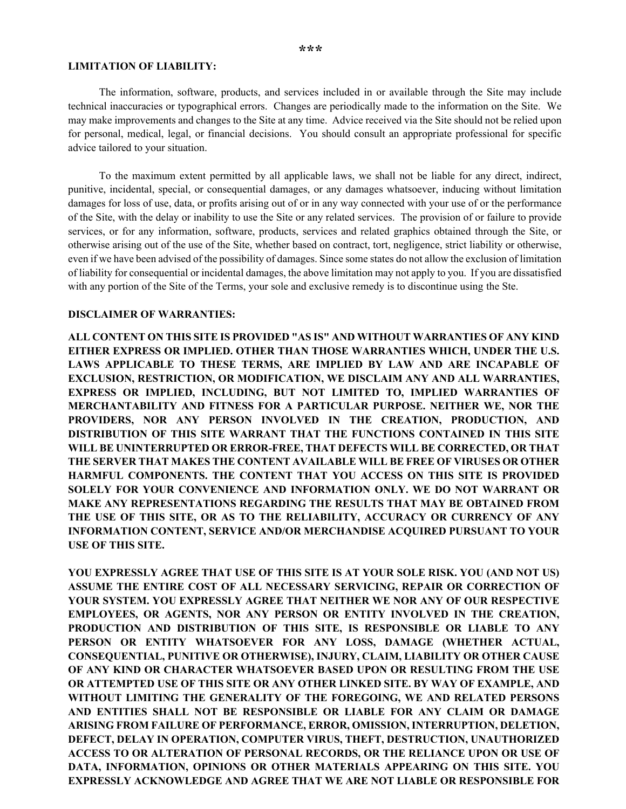### **LIMITATION OF LIABILITY:**

The information, software, products, and services included in or available through the Site may include technical inaccuracies or typographical errors. Changes are periodically made to the information on the Site. We may make improvements and changes to the Site at any time. Advice received via the Site should not be relied upon for personal, medical, legal, or financial decisions. You should consult an appropriate professional for specific advice tailored to your situation.

To the maximum extent permitted by all applicable laws, we shall not be liable for any direct, indirect, punitive, incidental, special, or consequential damages, or any damages whatsoever, inducing without limitation damages for loss of use, data, or profits arising out of or in any way connected with your use of or the performance of the Site, with the delay or inability to use the Site or any related services. The provision of or failure to provide services, or for any information, software, products, services and related graphics obtained through the Site, or otherwise arising out of the use of the Site, whether based on contract, tort, negligence, strict liability or otherwise, even if we have been advised of the possibility of damages. Since some states do not allow the exclusion of limitation of liability for consequential or incidental damages, the above limitation may not apply to you. If you are dissatisfied with any portion of the Site of the Terms, your sole and exclusive remedy is to discontinue using the Ste.

## **DISCLAIMER OF WARRANTIES:**

**ALL CONTENT ON THIS SITE IS PROVIDED "AS IS" AND WITHOUT WARRANTIES OF ANY KIND EITHER EXPRESS OR IMPLIED. OTHER THAN THOSE WARRANTIES WHICH, UNDER THE U.S. LAWS APPLICABLE TO THESE TERMS, ARE IMPLIED BY LAW AND ARE INCAPABLE OF EXCLUSION, RESTRICTION, OR MODIFICATION, WE DISCLAIM ANY AND ALL WARRANTIES, EXPRESS OR IMPLIED, INCLUDING, BUT NOT LIMITED TO, IMPLIED WARRANTIES OF MERCHANTABILITY AND FITNESS FOR A PARTICULAR PURPOSE. NEITHER WE, NOR THE PROVIDERS, NOR ANY PERSON INVOLVED IN THE CREATION, PRODUCTION, AND DISTRIBUTION OF THIS SITE WARRANT THAT THE FUNCTIONS CONTAINED IN THIS SITE WILL BE UNINTERRUPTED OR ERROR-FREE, THAT DEFECTS WILL BE CORRECTED, OR THAT THE SERVER THAT MAKES THE CONTENT AVAILABLE WILL BE FREE OF VIRUSES OR OTHER HARMFUL COMPONENTS. THE CONTENT THAT YOU ACCESS ON THIS SITE IS PROVIDED SOLELY FOR YOUR CONVENIENCE AND INFORMATION ONLY. WE DO NOT WARRANT OR MAKE ANY REPRESENTATIONS REGARDING THE RESULTS THAT MAY BE OBTAINED FROM THE USE OF THIS SITE, OR AS TO THE RELIABILITY, ACCURACY OR CURRENCY OF ANY INFORMATION CONTENT, SERVICE AND/OR MERCHANDISE ACQUIRED PURSUANT TO YOUR USE OF THIS SITE.**

**YOU EXPRESSLY AGREE THAT USE OF THIS SITE IS AT YOUR SOLE RISK. YOU (AND NOT US) ASSUME THE ENTIRE COST OF ALL NECESSARY SERVICING, REPAIR OR CORRECTION OF YOUR SYSTEM. YOU EXPRESSLY AGREE THAT NEITHER WE NOR ANY OF OUR RESPECTIVE EMPLOYEES, OR AGENTS, NOR ANY PERSON OR ENTITY INVOLVED IN THE CREATION, PRODUCTION AND DISTRIBUTION OF THIS SITE, IS RESPONSIBLE OR LIABLE TO ANY PERSON OR ENTITY WHATSOEVER FOR ANY LOSS, DAMAGE (WHETHER ACTUAL, CONSEQUENTIAL, PUNITIVE OR OTHERWISE), INJURY, CLAIM, LIABILITY OR OTHER CAUSE OF ANY KIND OR CHARACTER WHATSOEVER BASED UPON OR RESULTING FROM THE USE OR ATTEMPTED USE OF THIS SITE OR ANY OTHER LINKED SITE. BY WAY OF EXAMPLE, AND WITHOUT LIMITING THE GENERALITY OF THE FOREGOING, WE AND RELATED PERSONS AND ENTITIES SHALL NOT BE RESPONSIBLE OR LIABLE FOR ANY CLAIM OR DAMAGE ARISING FROM FAILURE OF PERFORMANCE, ERROR, OMISSION, INTERRUPTION, DELETION, DEFECT, DELAY IN OPERATION, COMPUTER VIRUS, THEFT, DESTRUCTION, UNAUTHORIZED ACCESS TO OR ALTERATION OF PERSONAL RECORDS, OR THE RELIANCE UPON OR USE OF DATA, INFORMATION, OPINIONS OR OTHER MATERIALS APPEARING ON THIS SITE. YOU EXPRESSLY ACKNOWLEDGE AND AGREE THAT WE ARE NOT LIABLE OR RESPONSIBLE FOR**